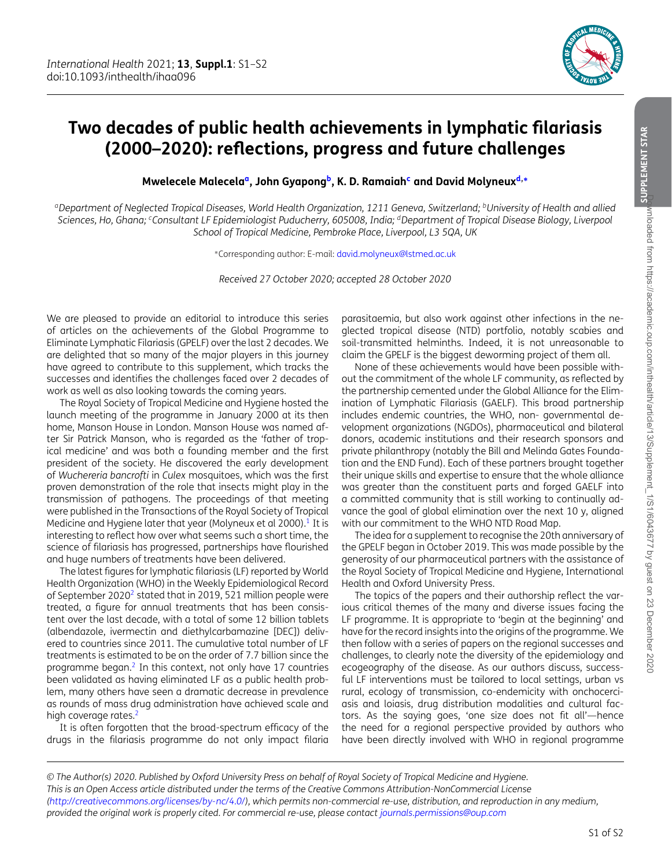

## **Two decades of public health achievements in lymphatic filariasis (2000–2020): reflections, progress and future challenges**

<span id="page-0-2"></span>**Mwelecele Malecela[a,](#page-0-0) John Gyapon[gb,](#page-0-1) K. D. Ramaia[hc](#page-0-2) and David Molyneux[d,](#page-0-3)[∗](#page-0-4)**

<span id="page-0-0"></span>*aDepartment of Neglected Tropical Diseases, World Health Organization, 1211 Geneva, Switzerland; bUniversity of Health and allied Sciences, Ho, Ghana; cConsultant LF Epidemiologist Puducherry, 605008, India; dDepartment of Tropical Disease Biology, Liverpool School of Tropical Medicine, Pembroke Place, Liverpool, L3 5QA, UK*

<span id="page-0-4"></span>∗Corresponding author: E-mail: [david.molyneux@lstmed.ac.uk](mailto:david.molyneux@lstmed.ac.uk)

*Received 27 October 2020; accepted 28 October 2020*

We are pleased to provide an editorial to introduce this series of articles on the achievements of the Global Programme to Eliminate Lymphatic Filariasis (GPELF) over the last 2 decades. We are delighted that so many of the major players in this journey have agreed to contribute to this supplement, which tracks the successes and identifies the challenges faced over 2 decades of work as well as also looking towards the coming years.

The Royal Society of Tropical Medicine and Hygiene hosted the launch meeting of the programme in January 2000 at its then home, Manson House in London. Manson House was named after Sir Patrick Manson, who is regarded as the 'father of tropical medicine' and was both a founding member and the first president of the society. He discovered the early development of *Wuchereria bancrofti* in *Culex* mosquitoes, which was the first proven demonstration of the role that insects might play in the transmission of pathogens. The proceedings of that meeting were published in the Transactions of the Royal Society of Tropical Medicine and Hygiene later that year (Molyneux et al 2000). $1$  It is interesting to reflect how over what seems such a short time, the science of filariasis has progressed, partnerships have flourished and huge numbers of treatments have been delivered.

The latest figures for lymphatic filariasis (LF) reported by World Health Organization (WHO) in the Weekly Epidemiological Record of September  $2020^2$  $2020^2$  $2020^2$  stated that in 2019, 521 million people were treated, a figure for annual treatments that has been consistent over the last decade, with a total of some 12 billion tablets (albendazole, ivermectin and diethylcarbamazine [DEC]) delivered to countries since 2011. The cumulative total number of LF treatments is estimated to be on the order of 7.7 billion since the programme began[.2](#page-1-1) In this context, not only have 17 countries been validated as having eliminated LF as a public health problem, many others have seen a dramatic decrease in prevalence as rounds of mass drug administration have achieved scale and high coverage rates.<sup>2</sup>

It is often forgotten that the broad-spectrum efficacy of the drugs in the filariasis programme do not only impact filaria <span id="page-0-3"></span><span id="page-0-1"></span>parasitaemia, but also work against other infections in the neglected tropical disease (NTD) portfolio, notably scabies and soil-transmitted helminths. Indeed, it is not unreasonable to claim the GPELF is the biggest deworming project of them all.

None of these achievements would have been possible without the commitment of the whole LF community, as reflected by the partnership cemented under the Global Alliance for the Elimination of Lymphatic Filariasis (GAELF). This broad partnership includes endemic countries, the WHO, non- governmental development organizations (NGDOs), pharmaceutical and bilateral donors, academic institutions and their research sponsors and private philanthropy (notably the Bill and Melinda Gates Foundation and the END Fund). Each of these partners brought together their unique skills and expertise to ensure that the whole alliance was greater than the constituent parts and forged GAELF into a committed community that is still working to continually advance the goal of global elimination over the next 10 y, aligned with our commitment to the WHO NTD Road Map.

The idea for a supplement to recognise the 20th anniversary of the GPELF began in October 2019. This was made possible by the generosity of our pharmaceutical partners with the assistance of the Royal Society of Tropical Medicine and Hygiene, International Health and Oxford University Press.

The topics of the papers and their authorship reflect the various critical themes of the many and diverse issues facing the LF programme. It is appropriate to 'begin at the beginning' and have for the record insights into the origins of the programme. We then follow with a series of papers on the regional successes and challenges, to clearly note the diversity of the epidemiology and ecogeography of the disease. As our authors discuss, successful LF interventions must be tailored to local settings, urban vs rural, ecology of transmission, co-endemicity with onchocerciasis and loiasis, drug distribution modalities and cultural factors. As the saying goes, 'one size does not fit all'—hence the need for a regional perspective provided by authors who have been directly involved with WHO in regional programme

*<sup>©</sup> The Author(s) 2020. Published by Oxford University Press on behalf of Royal Society of Tropical Medicine and Hygiene. This is an Open Access article distributed under the terms of the Creative Commons Attribution-NonCommercial License [\(http://creativecommons.org/licenses/by-nc/4.0/\)](http://creativecommons.org/licenses/by-nc/4.0/), which permits non-commercial re-use, distribution, and reproduction in any medium, provided the original work is properly cited. For commercial re-use, please contact <journals.permissions@oup.com>*